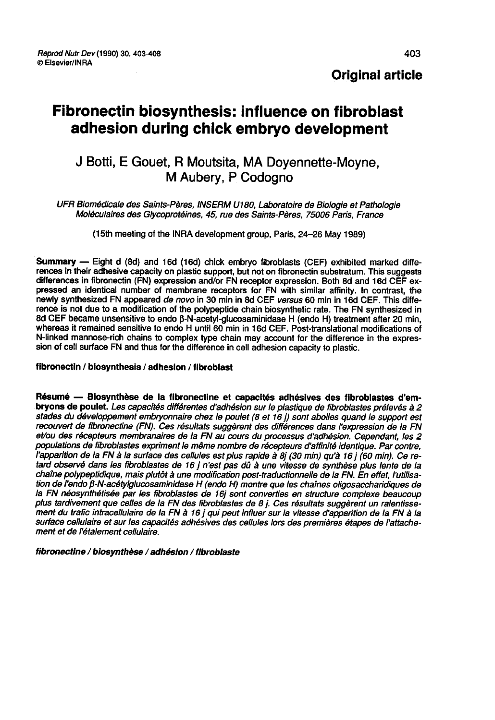## Original article

# Fibronectin biosynthesis: influence on fibroblast adhesion during chick embryo development

## J Botti, E Gouet, R Moutsita, MA Dovennette-Movne. M Aubery, P Codogno

UFR Biomédicale des Saints-Pères, INSERM U180. Laboratoire de Biologie et Pathologie Moléculaires des Glycoprotéines, 45, rue des Saints-Pères, 75006 Paris, France

(l5th meeting of the INRA development group, Paris, 24-26 May 1989)

**Summary** — Eight d (8d) and 16d (16d) chick embryo fibroblasts (CEF) exhibited marked differences in their adhesive capacity on plastic support, but not on fibronectin substratum. This suggests differences in fibronectin pressed an identical number of membrane receptors for FN with similar affinity. In contrast, the newly synthesized FN appeared de novo in 30 min in 8d CEF versus 60 min in 16d CEF. This difference is not due to a modification of the polypeptide chain biosynthetic rate. The FN synthesized in 8d CEF became unsensitive to endo β-N-acetyl-glucosaminidase H (endo H) treatment after 20 min, whereas it remained sensitive to endo H until 60 min in 16d CEF. Post-translational modifications of N-linked mannose-rich chains to complex type chain may account for the difference in the expres- sion of cell surface FN and thus for the difference in cell adhesion capacity to plastic.

#### flbronectin / biosynthesis / adhesion / fibroblast

Résumé ― Biosynthèse de la fibronectine et capacités adhésives des fibroblastes d'embryons de poulet. Les capacités différentes d'adhésion sur le plastique de fibroblastes prélevés à 2 stades du développement embryonnaire chez le poulet (8 et 16 j) sont abolies quand le support est recouvert de flbronectine (FN). Ces résultats suggèrent des différences dans l'expression de la FN et/ou des récepteurs membranaires de la FN au cours du processus d'adhésion. Cependant, les 2 populations de fibroblastes expriment le même nombre de récepteurs d'affinité identique. Par contre, I apparition de la FN à la surface des cellules est plus rapide à 8j (30 min) qu'à 16 j (60 min). Ce retard observé dans les fibroblastes de 16 j n'est pas dû à une vitesse de synthèse plus lente de la chaîne polypeptidique, mais plutôt à une modification post-traductionnelle de la FN. En effet, l'utilisation de l'endo β-N-acétylglucosaminidase H (endo H) montre que les chaînes oligosaccharidiques de<br>la FN néosynthétisée par les fibroblastes de 16j sont converties en structure complexe beaucoup plus tardivement que celles de la FN des fibroblastes de 8 j. Ces résultats suggèrent un ralentissement du trafic intracellulaire de la FN à 16 j qui peut influer sur la vitesse d'apparition de la FN à la surface cellulaire et sur les capacités adhésives des cellules lors des premières étapes de l'attache-<br>ment et de l'étalement cellulaire.

#### fibronectine / biosynthèse / adhésion / fibroblaste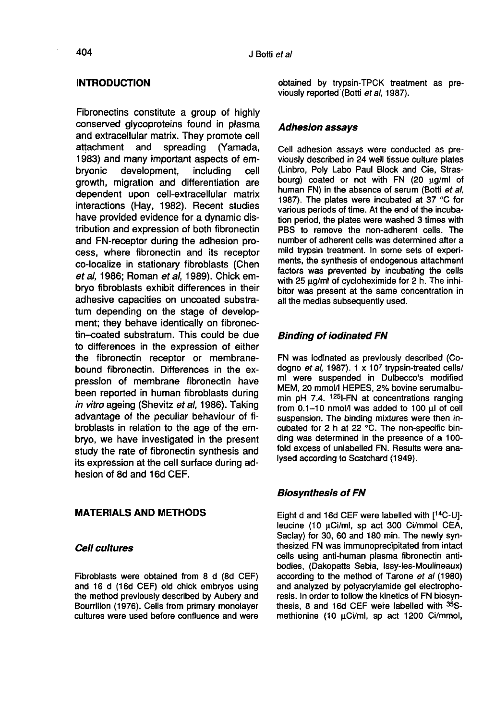## **INTRODUCTION**

Fibronectins constitute a group of highly conserved glycoproteins found in plasma and extracellular matrix. They promote cell<br>attachment and spreading (Yamada, spreading (Yamada, 1983) and many important aspects of em-<br>bryonic development, including cell development, growth, migration and differentiation are dependent upon cell-extracellular matrix interactions (Hay, 1982). Recent studies have provided evidence for a dynamic distribution and expression of both fibronectin and FN-receptor during the adhesion process, where fibronectin and its receptor co-localize in stationary fibroblasts (Chen et al, 1986; Roman et al, 1989). Chick embryo fibroblasts exhibit differences in their adhesive capacities on uncoated substratum depending on the stage of development; they behave identically on fibronectin-coated substratum. This could be due to differences in the expression of either the fibronectin receptor or membranebound fibronectin. Differences in the expression of membrane fibronectin have been reported in human fibroblasts during in vitro ageing (Shevitz et al, 1986). Taking advantage of the peculiar behaviour of fibroblasts in relation to the age of the embryo, we have investigated in the present study the rate of fibronectin synthesis and its expression at the cell surface during adhesion of 8d and 16d CEF.

#### MATERIALS AND METHODS

#### Cell cultures

Fibroblasts were obtained from 8 d (8d CEF) and 16 d (16d CEF) old chick embryos using the method previously described by Aubery and Bourrillon (1976). Cells from primary monolayer cultures were used before confluence and were

obtained by trypsin-TPCK treatment as previously reported (Botti et al, 1987).

#### Adhesion assays

Cell adhesion assays were conducted as previously described in 24 well tissue culture plates (Linbro, Poly Labo Paul Block and Cie, Strasbourg) coated or not with FN (20 µg/ml of human FN) in the absence of serum (Botti et al, 1987). The plates were incubated at 37 °C for various periods of time. At the end of the incubation period, the plates were washed 3 times with PBS to remove the non-adherent cells. The number of adherent cells was determined after a mild trypsin treatment. In some sets of experiments, the synthesis of endogenous attachment factors was prevented by incubating the cells with 25  $\mu$ g/ml of cycloheximide for 2 h. The inhibitor was present at the same concentration in all the medias subsequently used.

### Binding of iodinated FN

FN was iodinated as previously described (Codogno et al. 1987).  $1 \times 10^7$  trypsin-treated cells/ ml were suspended in Dulbecco's modified MEM, 20 mmol/I HEPES, 2% bovine serumalbumin pH 7.4.  $1251-FN$  at concentrations ranging from  $0.1-10$  nmol/l was added to  $100$   $\mu$ l of cell suspension. The binding mixtures were then incubated for 2 h at 22 °C. The non-specific binding was determined in the presence of a 100 fold excess of unlabelled FN. Results were analysed according to Scatchard (1949).

#### Biosynthesis of FN

Eight d and 16d CEF were labelled with [14C-U] leucine (10 µCi/ml, sp act 300 Ci/mmol CEA, Saclay) for 30, 60 and 180 min. The newly synthesized FN was immunoprecipitated from intact cells using anti-human plasma fibronectin antibodies, (Dakopatts Sebia, lssy-les-Moulineaux) according to the method of Tarone et al (1980) and analyzed by polyacrylamide gel electrophoresis. In order to follow the kinetics of FN biosynthesis, 8 and 16d CEF were labelled with 35Smethionine (10 uCi/ml, sp act 1200 Ci/mmol,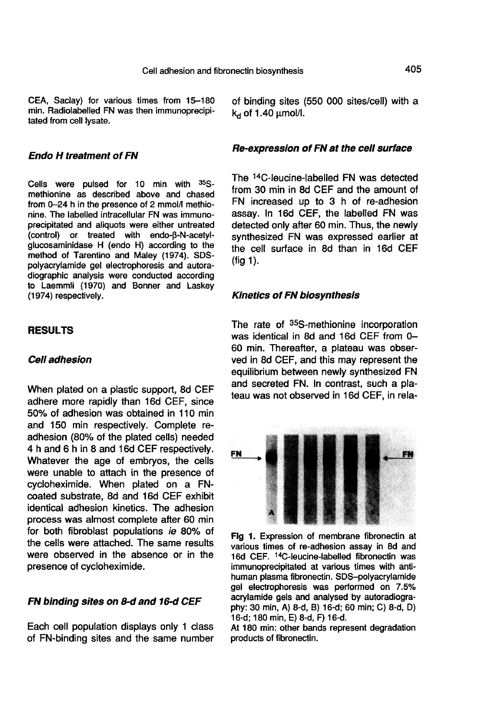CEA, Saclay) for various times from 15-180 min. Radiolabelled FN was then immunoprecipitated from cell lysate.

#### Endo H treatment of FN

Cells were pulsed for 10 min with  $35S$ methionine as described above and chased from 0-24 h in the presence of 2 mmol/I methionine. The labelled intracellular FN was immunoprecipitated and aliquots were either untreated (control) or treated with endo- $\beta$ -N-acetylglucosaminidase H (endo H) according to the method of Tarentino and Maley (1974). SDSpolyacrylamide gel electrophoresis and autoradiographic analysis were conducted according to Laemmli (1970) and Bonner and Laskey (1974) respectively.

#### RESULTS

### Cell adhesion

When plated on a plastic support, 8d CEF adhere more rapidly than 16d CEF, since 50% of adhesion was obtained in 110 min and 150 min respectively. Complete readhesion (80% of the plated cells) needed 4 h and 6 h in 8 and 16d CEF respectively. Whatever the age of embryos, the cells were unable to attach in the presence of cycloheximide. When plated on a FNcoated substrate, 8d and 16d CEF exhibit identical adhesion kinetics. The adhesion process was almost complete after 60 min for both fibroblast populations ie 80% of the cells were attached. The same results were observed in the absence or in the presence of cycloheximide.

## FN binding sites on 8-d and 16-d CEF

Each cell population displays only 1 class of FN-binding sites and the same number of binding sites (550 000 sites/cell) with a  $k_d$  of 1.40  $\mu$ mol/l.

#### Re-expression of FN at the cell surface

The <sup>14</sup>C-leucine-labelled FN was detected from 30 min in 8d CEF and the amount of FN increased up to 3 h of re-adhesion assay. In 16d CEF, the labelled FN was detected only after 60 min. Thus, the newly synthesized FN was expressed earlier at the cell surface in 8d than in 16d CEF  $(fia 1)$ .

#### Kinetics of FN biosynthesis

The rate of <sup>35</sup>S-methionine incorporation<br>was identical in 8d and 16d CEF from 0-60 min. Thereafter, a plateau was observed in 8d CEF, and this may represent the equilibrium between newly synthesized FN and secreted FN. In contrast, such a plateau was not observed in 16d CEF, in rela-



Fig 1. Expression of membrane fibronectin at various times of re-adhesion assay in 8d and 16d CEF. <sup>14</sup>C-leucine-labelled fibronectin was immunoprecipitated at various times with antihuman plasma fibronectin. SDS-polyacrylamide gel electrophoresis was performed on 7.5% acrylamide gels and analysed by autoradiography: 30 min, A) 8-d, B) 16-d; 60 min; C) 8-d, D) 16-d; 180 min, E) 8-d, F) 16-d.

At 180 min: other bands represent degradation products of fibronectin.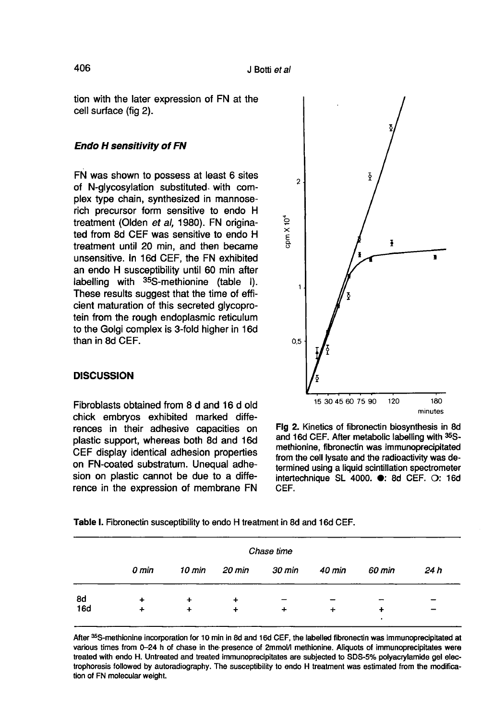tion with the later expression of FN at the cell surface (fig 2).

#### Endo H sensitivity of FN

FN was shown to possess at least 6 sites of N-glycosylation substituted. with complex type chain, synthesized in mannoserich precursor form sensitive to endo H treatment (Olden et al, 1980). FN originated from 8d CEF was sensitive to endo H treatment until 20 min, and then became unsensitive. In 16d CEF, the FN exhibited an endo H susceptibility until 60 min after labelling with 35S-methionine (table I). These results suggest that the time of efficient maturation of this secreted glycoprotein from the rough endoplasmic reticulum to the Golgi complex is 3-fold higher in 16d than in 8d CEF.

#### **DISCUSSION**

Fibroblasts obtained from 8 d and 16 d old chick embryos exhibited marked differences in their adhesive capacities on plastic support, whereas both 8d and 16d CEF display identical adhesion properties on FN-coated substratum. Unequal adhesion on plastic cannot be due to a difference in the expression of membrane FN



Flg 2. Kinetics of fibronectin biosynthesis in 8d and 16d CEF. After metabolic labelling with 35Smethionine, fibronectin was immunoprecipitated from the cell lysate and the radioactivity was determined using a liquid scintillation spectrometer intertechnique SL 4000. e: 8d CEF. O: 16d CEF.

Table I. Fibronectin susceptibility to endo H treatment in 8d and 16d CEF.

|            | Chase time |           |        |        |        |                          |      |
|------------|------------|-----------|--------|--------|--------|--------------------------|------|
|            | 0 min      | 10 min    | 20 min | 30 min | 40 min | 60 min                   | 24 h |
| 8d         | ÷          | $\ddot{}$ |        |        |        | $\overline{\phantom{a}}$ |      |
| <b>16d</b> | ÷          | +         |        |        | ÷      | ٠                        |      |

After 35S-methionine incorporation for 10 min in 8d and 16d CEF, the labelled fibronectin was immunoprecipitated at various times from 0-24 h of chase in the presence of 2mmol/l methionine. Aliquots of immunoprecipitates were treated with endo H. Untreated and treated immunoprecipitates are subjected to SDS-5% polyacrylamide gel electrophoresis followed by autoradiography. The susceptibility to endo H treatment was estimated from the modification of FN molecular weight.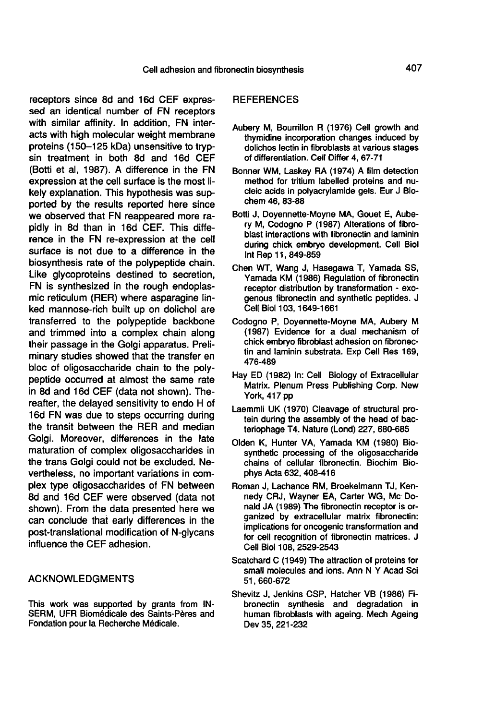receptors since 8d and 16d CEF expressed an identical number of FN receptors with similar affinity. In addition, FN interacts with high molecular weight membrane proteins (150-125 kDa) unsensitive to trypsin treatment in both 8d and 16d CEF (Botti et al, 1987). A difference in the FN expression at the cell surface is the most likely explanation. This hypothesis was supported by the results reported here since we observed that FN reappeared more rapidly in 8d than in 16d CEF. This difference in the FN re-expression at the cell surface is not due to a difference in the biosynthesis rate of the polypeptide chain. Like glycoproteins destined to secretion, FN is synthesized in the rough endoplasmic reticulum (RER) where asparagine linked mannose-rich built up on dolichol are transferred to the polypeptide backbone and trimmed into a complex chain along their passage in the Golgi apparatus. Preliminary studies showed that the transfer en bloc of oligosaccharide chain to the polypeptide occurred at almost the same rate in 8d and 16d CEF (data not shown). Thereafter, the delayed sensitivity to endo H of 16d FN was due to steps occurring during the transit between the RER and median Golgi. Moreover, differences in the late maturation of complex oligosaccharides in the trans Golgi could not be excluded. Nevertheless, no important variations in complex type oligosaccharides of FN between 8d and 16d CEF were observed (data not shown). From the data presented here we can conclude that early differences in the post-translational modification of N-glycans influence the CEF adhesion.

#### ACKNOWLEDGMENTS

This work was supported by grants from IN-SERM, UFR Biomédicale des Saints-Pbres and Fondation pour la Recherche Médicale.

#### **REFERENCES**

- Aubery M, Bourrillon R (1976) Cell growth and thymidine incorporation changes induced by dolichos lectin in fibroblasts at various stages of differentiation. Cell Differ 4, 67-71
- Bonner WM, Laskey RA (1974) A film detection method for tritium labelled proteins and nucleic acids in polyacrylamide gels. Eur J Biochem 46, 83-88
- Botti J, Doyennette-Moyne MA, Gouet E, Aubery M, Codogno P (1987) Alterations of fibroblast interactions with fibronectin and laminin during chick embryo development. Cell Biol lnt Rep 11, 849-859
- Chen WT, Wang J, Hasegawa T, Yamada SS, Yamada KM (1986) Regulation of fibronectin receptor distribution by transformation - exogenous fibronectin and synthetic peptides. J Cell Biol 103, 1649-1661
- Codogno P, Doyennette-Moyne MA, Aubery M (1987) Evidence for a dual mechanism of chick embryo fibroblast adhesion on fibronectin and laminin substrata. Exp Cell Res 169, 476-489
- Hay ED (1982) In: Cell Biology of Extracellular Matrix. Plenum Press Publishing Corp. New York, 417 pp
- Laemmli UK (1970) Cleavage of structural protein during the assembly of the head of bacteriophage T4. Nature (Lond) 227, 680-685
- Olden K, Hunter VA, Yamada KM (1980) Biosynthetic processing of the oligosaccharide chains of cellular fibronectin. Biochim Biophys Acta 632, 408-416
- Roman J, Lachance RM, Broekelmann TJ, Kennedy CRJ, Wayner EA, Carter WG, Me Donald JA (1989) The fibronectin receptor is organized by extracellular matrix fibronectin: implications for oncogenic transformation and for cell recognition of fibronectin matrices. J Cell Biol 108, 2529-2543
- Scatchard C (1949) The attraction of proteins for small molecules and ions. Ann N Y Acad Sci 51, 660-672
- Shevitz J, Jenkins CSP, Hatcher VB (1986) Fibronectin synthesis and degradation in human fibroblasts with ageing. Mech Ageing Dev 35, 221-232